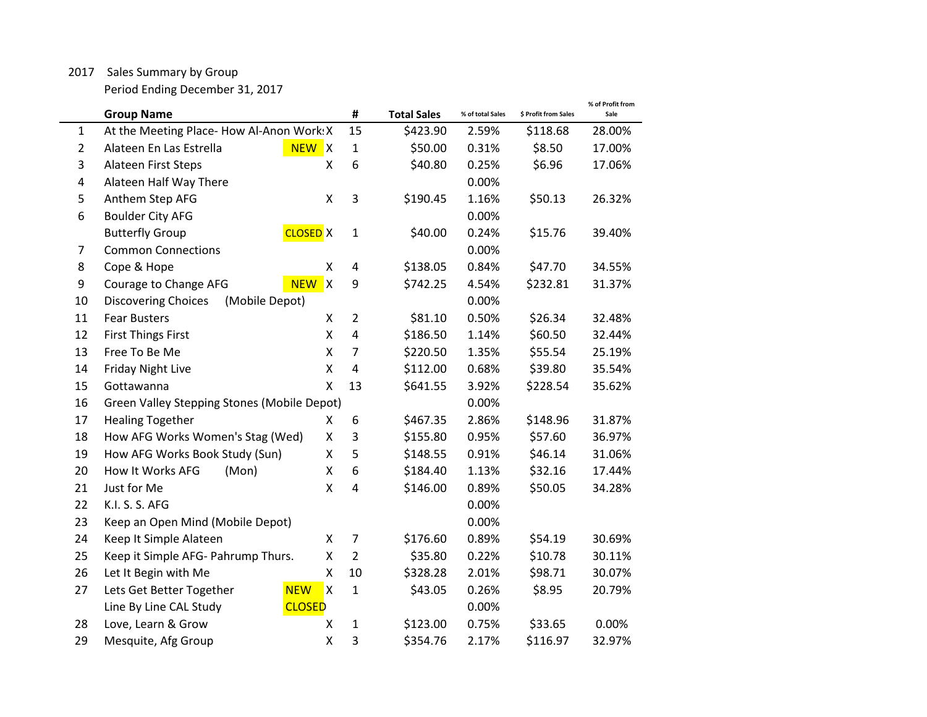## 2017 Sales Summary by Group

Period Ending December 31, 2017

|                | <b>Group Name</b>                                              | #              | <b>Total Sales</b> | % of total Sales | \$ Profit from Sales | % of Profit from<br>Sale |
|----------------|----------------------------------------------------------------|----------------|--------------------|------------------|----------------------|--------------------------|
| $\mathbf{1}$   | At the Meeting Place- How Al-Anon Work: X                      | 15             | \$423.90           | 2.59%            | \$118.68             | 28.00%                   |
| $\overline{2}$ | Alateen En Las Estrella<br>NEW X                               | $\mathbf{1}$   | \$50.00            | 0.31%            | \$8.50               | 17.00%                   |
| 3              | Alateen First Steps<br>Χ                                       | 6              | \$40.80            | 0.25%            | \$6.96               | 17.06%                   |
| 4              | Alateen Half Way There                                         |                |                    | 0.00%            |                      |                          |
| 5              | Anthem Step AFG<br>Χ                                           | 3              | \$190.45           | 1.16%            | \$50.13              | 26.32%                   |
| 6              | <b>Boulder City AFG</b>                                        |                |                    | 0.00%            |                      |                          |
|                | <b>Butterfly Group</b><br><b>CLOSED</b> X                      | $\mathbf{1}$   | \$40.00            | 0.24%            | \$15.76              | 39.40%                   |
| 7              | <b>Common Connections</b>                                      |                |                    | 0.00%            |                      |                          |
| 8              | Cope & Hope<br>Χ                                               | 4              | \$138.05           | 0.84%            | \$47.70              | 34.55%                   |
| 9              | $\mathsf{\overline{X}}$<br>Courage to Change AFG<br><b>NEW</b> | 9              | \$742.25           | 4.54%            | \$232.81             | 31.37%                   |
| 10             | <b>Discovering Choices</b><br>(Mobile Depot)                   |                |                    | 0.00%            |                      |                          |
| 11             | <b>Fear Busters</b><br>Χ                                       | $\overline{2}$ | \$81.10            | 0.50%            | \$26.34              | 32.48%                   |
| 12             | <b>First Things First</b><br>Χ                                 | $\pmb{4}$      | \$186.50           | 1.14%            | \$60.50              | 32.44%                   |
| 13             | Free To Be Me<br>Χ                                             | $\overline{7}$ | \$220.50           | 1.35%            | \$55.54              | 25.19%                   |
| 14             | <b>Friday Night Live</b><br>Χ                                  | $\overline{4}$ | \$112.00           | 0.68%            | \$39.80              | 35.54%                   |
| 15             | Gottawanna<br>Χ                                                | 13             | \$641.55           | 3.92%            | \$228.54             | 35.62%                   |
| 16             | Green Valley Stepping Stones (Mobile Depot)                    |                |                    | 0.00%            |                      |                          |
| 17             | <b>Healing Together</b><br>X                                   | 6              | \$467.35           | 2.86%            | \$148.96             | 31.87%                   |
| 18             | How AFG Works Women's Stag (Wed)<br>Χ                          | 3              | \$155.80           | 0.95%            | \$57.60              | 36.97%                   |
| 19             | Χ<br>How AFG Works Book Study (Sun)                            | 5              | \$148.55           | 0.91%            | \$46.14              | 31.06%                   |
| 20             | How It Works AFG<br>(Mon)<br>Χ                                 | 6              | \$184.40           | 1.13%            | \$32.16              | 17.44%                   |
| 21             | Just for Me<br>Χ                                               | 4              | \$146.00           | 0.89%            | \$50.05              | 34.28%                   |
| 22             | K.I. S. S. AFG                                                 |                |                    | 0.00%            |                      |                          |
| 23             | Keep an Open Mind (Mobile Depot)                               |                |                    | 0.00%            |                      |                          |
| 24             | Keep It Simple Alateen<br>Χ                                    | $\overline{7}$ | \$176.60           | 0.89%            | \$54.19              | 30.69%                   |
| 25             | Keep it Simple AFG- Pahrump Thurs.<br>Χ                        | $\overline{2}$ | \$35.80            | 0.22%            | \$10.78              | 30.11%                   |
| 26             | Let It Begin with Me<br>Χ                                      | 10             | \$328.28           | 2.01%            | \$98.71              | 30.07%                   |
| 27             | <b>NEW</b><br>$\mathsf{x}$<br>Lets Get Better Together         | $\mathbf{1}$   | \$43.05            | 0.26%            | \$8.95               | 20.79%                   |
|                | Line By Line CAL Study<br><b>CLOSED</b>                        |                |                    | 0.00%            |                      |                          |
| 28             | Love, Learn & Grow<br>Χ                                        | $\mathbf{1}$   | \$123.00           | 0.75%            | \$33.65              | 0.00%                    |
| 29             | Mesquite, Afg Group<br>X                                       | 3              | \$354.76           | 2.17%            | \$116.97             | 32.97%                   |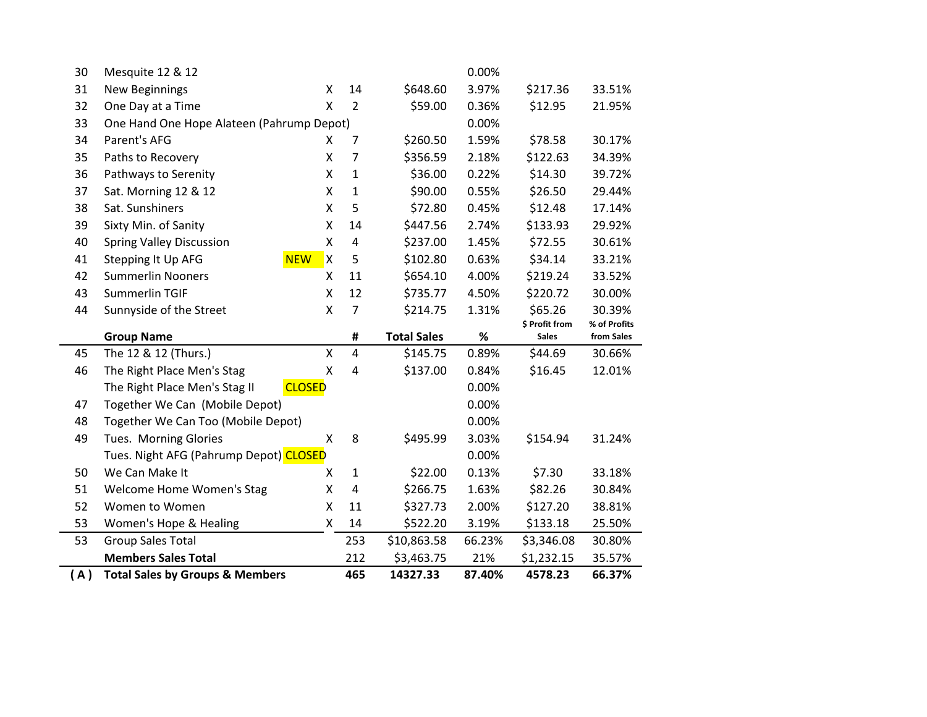| 47<br>48<br>49<br>50<br>51<br>52<br>53<br>53 | Together We Can Too (Mobile Depot)<br><b>Tues. Morning Glories</b><br>Tues. Night AFG (Pahrump Depot) CLOSED<br>We Can Make It<br>Welcome Home Women's Stag<br>Women to Women<br>Women's Hope & Healing<br><b>Group Sales Total</b><br><b>Members Sales Total</b> | X<br>X<br>Χ<br>X<br>Χ | 8<br>$\mathbf{1}$<br>$\overline{4}$<br>11<br>14<br>253<br>212 | \$495.99<br>\$22.00<br>\$266.75<br>\$327.73<br>\$522.20<br>\$10,863.58<br>\$3,463.75 | 0.00%<br>0.00%<br>3.03%<br>0.00%<br>0.13%<br>1.63%<br>2.00%<br>3.19%<br>66.23%<br>21% | \$154.94<br>\$7.30<br>\$82.26<br>\$127.20<br>\$133.18<br>\$3,346.08<br>\$1,232.15 | 31.24%<br>33.18%<br>30.84%<br>38.81%<br>25.50%<br>30.80%<br>35.57% |
|----------------------------------------------|-------------------------------------------------------------------------------------------------------------------------------------------------------------------------------------------------------------------------------------------------------------------|-----------------------|---------------------------------------------------------------|--------------------------------------------------------------------------------------|---------------------------------------------------------------------------------------|-----------------------------------------------------------------------------------|--------------------------------------------------------------------|
|                                              |                                                                                                                                                                                                                                                                   |                       |                                                               |                                                                                      |                                                                                       |                                                                                   |                                                                    |
|                                              |                                                                                                                                                                                                                                                                   |                       |                                                               |                                                                                      |                                                                                       |                                                                                   |                                                                    |
|                                              |                                                                                                                                                                                                                                                                   |                       |                                                               |                                                                                      |                                                                                       |                                                                                   |                                                                    |
|                                              |                                                                                                                                                                                                                                                                   |                       |                                                               |                                                                                      |                                                                                       |                                                                                   |                                                                    |
|                                              |                                                                                                                                                                                                                                                                   |                       |                                                               |                                                                                      |                                                                                       |                                                                                   |                                                                    |
|                                              |                                                                                                                                                                                                                                                                   |                       |                                                               |                                                                                      |                                                                                       |                                                                                   |                                                                    |
|                                              |                                                                                                                                                                                                                                                                   |                       |                                                               |                                                                                      |                                                                                       |                                                                                   |                                                                    |
|                                              |                                                                                                                                                                                                                                                                   |                       |                                                               |                                                                                      |                                                                                       |                                                                                   |                                                                    |
|                                              |                                                                                                                                                                                                                                                                   |                       |                                                               |                                                                                      |                                                                                       |                                                                                   |                                                                    |
|                                              | Together We Can (Mobile Depot)                                                                                                                                                                                                                                    |                       |                                                               |                                                                                      |                                                                                       |                                                                                   |                                                                    |
|                                              | The Right Place Men's Stag II<br><b>CLOSED</b>                                                                                                                                                                                                                    |                       |                                                               |                                                                                      | 0.00%                                                                                 |                                                                                   |                                                                    |
| 46                                           | The Right Place Men's Stag                                                                                                                                                                                                                                        | X                     | $\overline{4}$                                                | \$137.00                                                                             | 0.84%                                                                                 | \$16.45                                                                           | 12.01%                                                             |
| 45                                           | The 12 & 12 (Thurs.)                                                                                                                                                                                                                                              | Χ                     | $\overline{4}$                                                | \$145.75                                                                             | 0.89%                                                                                 | \$44.69                                                                           | 30.66%                                                             |
|                                              | <b>Group Name</b>                                                                                                                                                                                                                                                 |                       | #                                                             | <b>Total Sales</b>                                                                   | $\%$                                                                                  | <b>Sales</b>                                                                      | from Sales                                                         |
| 44                                           | Sunnyside of the Street                                                                                                                                                                                                                                           | X                     | $7\overline{ }$                                               | \$214.75                                                                             | 1.31%                                                                                 | \$65.26<br>\$ Profit from                                                         | 30.39%<br>% of Profits                                             |
| 43                                           | Summerlin TGIF                                                                                                                                                                                                                                                    | Χ                     | 12                                                            | \$735.77                                                                             | 4.50%                                                                                 | \$220.72                                                                          | 30.00%                                                             |
| 42                                           | <b>Summerlin Nooners</b>                                                                                                                                                                                                                                          | X                     | 11                                                            | \$654.10                                                                             | 4.00%                                                                                 | \$219.24                                                                          | 33.52%                                                             |
| 41                                           | <b>NEW</b><br>Stepping It Up AFG                                                                                                                                                                                                                                  | Χ                     | 5                                                             | \$102.80                                                                             | 0.63%                                                                                 | \$34.14                                                                           | 33.21%                                                             |
| 40                                           | <b>Spring Valley Discussion</b>                                                                                                                                                                                                                                   | Χ                     | $\overline{4}$                                                | \$237.00                                                                             | 1.45%                                                                                 | \$72.55                                                                           | 30.61%                                                             |
| 39                                           | Sixty Min. of Sanity                                                                                                                                                                                                                                              | Χ                     | 14                                                            | \$447.56                                                                             | 2.74%                                                                                 | \$133.93                                                                          | 29.92%                                                             |
| 38                                           | Sat. Sunshiners                                                                                                                                                                                                                                                   | X                     | 5                                                             | \$72.80                                                                              | 0.45%                                                                                 | \$12.48                                                                           | 17.14%                                                             |
| 37                                           | Sat. Morning 12 & 12                                                                                                                                                                                                                                              | Χ                     | $\mathbf{1}$                                                  | \$90.00                                                                              | 0.55%                                                                                 | \$26.50                                                                           | 29.44%                                                             |
| 36                                           | Pathways to Serenity                                                                                                                                                                                                                                              | Χ                     | $\mathbf{1}$                                                  | \$36.00                                                                              | 0.22%                                                                                 | \$14.30                                                                           | 39.72%                                                             |
| 35                                           | Paths to Recovery                                                                                                                                                                                                                                                 | Χ                     | $\overline{7}$                                                | \$356.59                                                                             | 2.18%                                                                                 | \$122.63                                                                          | 34.39%                                                             |
| 34                                           | Parent's AFG                                                                                                                                                                                                                                                      | X                     | 7                                                             | \$260.50                                                                             | 1.59%                                                                                 | \$78.58                                                                           | 30.17%                                                             |
| 33                                           | One Hand One Hope Alateen (Pahrump Depot)                                                                                                                                                                                                                         |                       |                                                               |                                                                                      | 0.00%                                                                                 |                                                                                   |                                                                    |
|                                              | One Day at a Time                                                                                                                                                                                                                                                 | X                     | $\overline{2}$                                                | \$59.00                                                                              | 0.36%                                                                                 | \$12.95                                                                           | 21.95%                                                             |
| 32                                           | <b>New Beginnings</b>                                                                                                                                                                                                                                             | X                     | 14                                                            | \$648.60                                                                             | 3.97%                                                                                 | \$217.36                                                                          | 33.51%                                                             |
| 31                                           | Mesquite 12 & 12                                                                                                                                                                                                                                                  |                       |                                                               |                                                                                      | 0.00%                                                                                 |                                                                                   |                                                                    |